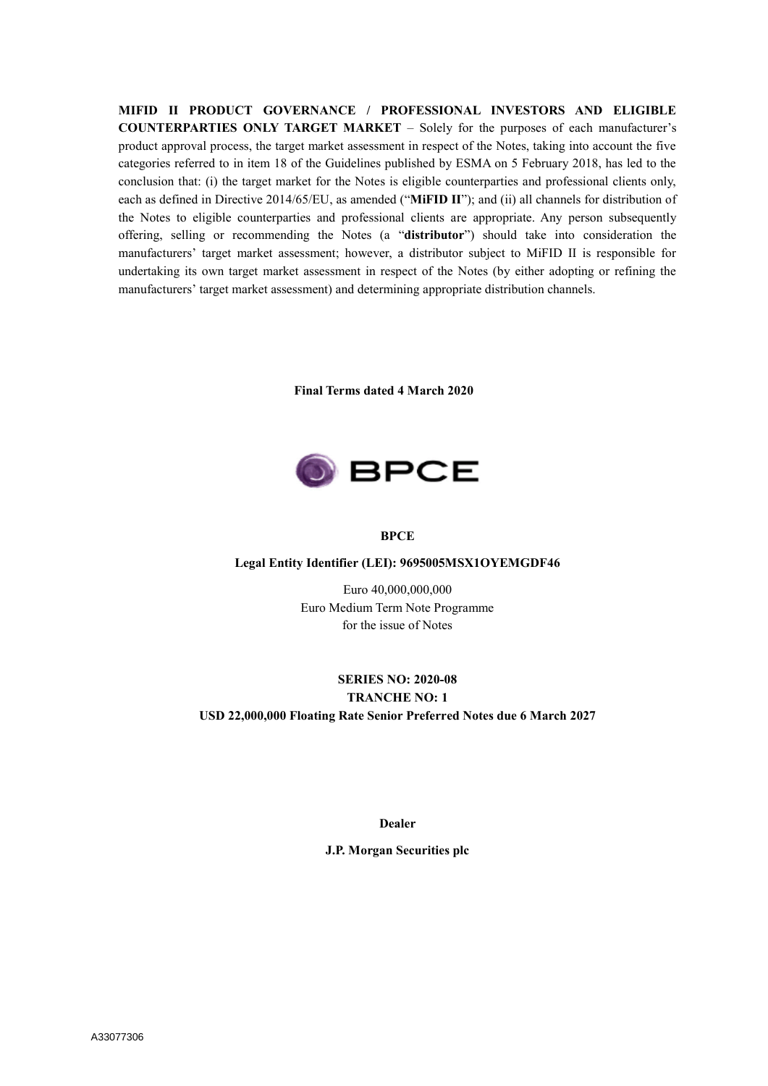**MIFID II PRODUCT GOVERNANCE / PROFESSIONAL INVESTORS AND ELIGIBLE COUNTERPARTIES ONLY TARGET MARKET** – Solely for the purposes of each manufacturer's product approval process, the target market assessment in respect of the Notes, taking into account the five categories referred to in item 18 of the Guidelines published by ESMA on 5 February 2018, has led to the conclusion that: (i) the target market for the Notes is eligible counterparties and professional clients only, each as defined in Directive 2014/65/EU, as amended ("**MiFID II**"); and (ii) all channels for distribution of the Notes to eligible counterparties and professional clients are appropriate. Any person subsequently offering, selling or recommending the Notes (a "**distributor**") should take into consideration the manufacturers' target market assessment; however, a distributor subject to MiFID II is responsible for undertaking its own target market assessment in respect of the Notes (by either adopting or refining the manufacturers' target market assessment) and determining appropriate distribution channels.

**Final Terms dated 4 March 2020**



#### **BPCE**

#### **Legal Entity Identifier (LEI): 9695005MSX1OYEMGDF46**

Euro 40,000,000,000 Euro Medium Term Note Programme for the issue of Notes

## **SERIES NO: 2020-08 TRANCHE NO: 1 USD 22,000,000 Floating Rate Senior Preferred Notes due 6 March 2027**

**Dealer**

**J.P. Morgan Securities plc**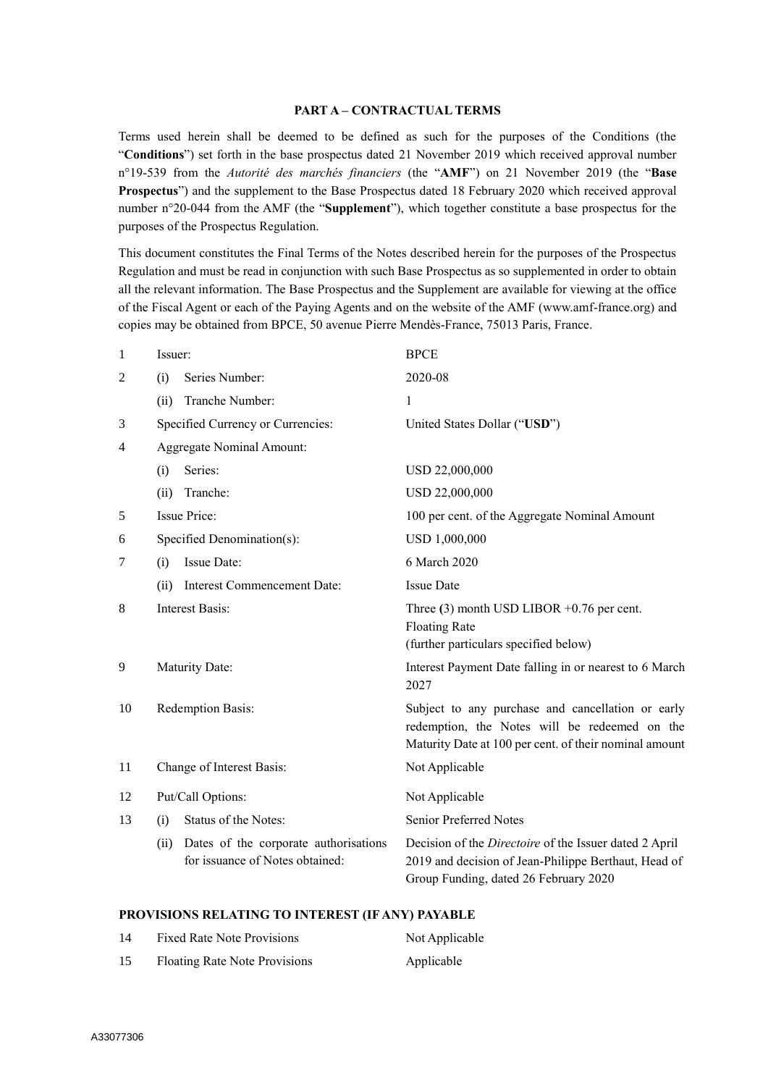#### **PART A – CONTRACTUAL TERMS**

Terms used herein shall be deemed to be defined as such for the purposes of the Conditions (the "**Conditions**") set forth in the base prospectus dated 21 November 2019 which received approval number n°19-539 from the *Autorité des marchés financiers* (the "**AMF**") on 21 November 2019 (the "**Base Prospectus**") and the supplement to the Base Prospectus dated 18 February 2020 which received approval number n°20-044 from the AMF (the "**Supplement**"), which together constitute a base prospectus for the purposes of the Prospectus Regulation.

This document constitutes the Final Terms of the Notes described herein for the purposes of the Prospectus Regulation and must be read in conjunction with such Base Prospectus as so supplemented in order to obtain all the relevant information. The Base Prospectus and the Supplement are available for viewing at the office of the Fiscal Agent or each of the Paying Agents and on the website of the AMF (www.amf-france.org) and copies may be obtained from BPCE, 50 avenue Pierre Mendès-France, 75013 Paris, France.

| $\mathbf{1}$ | Issuer:                          |                                                                          | <b>BPCE</b>                                                                                                                                                  |  |
|--------------|----------------------------------|--------------------------------------------------------------------------|--------------------------------------------------------------------------------------------------------------------------------------------------------------|--|
| 2            | (i)                              | Series Number:                                                           | 2020-08                                                                                                                                                      |  |
|              | (ii)                             | Tranche Number:                                                          | $\mathbf{1}$                                                                                                                                                 |  |
| 3            |                                  | Specified Currency or Currencies:                                        | United States Dollar ("USD")                                                                                                                                 |  |
| 4            | <b>Aggregate Nominal Amount:</b> |                                                                          |                                                                                                                                                              |  |
|              | (i)                              | Series:                                                                  | USD 22,000,000                                                                                                                                               |  |
|              | (ii)                             | Tranche:                                                                 | USD 22,000,000                                                                                                                                               |  |
| 5            |                                  | <b>Issue Price:</b>                                                      | 100 per cent. of the Aggregate Nominal Amount                                                                                                                |  |
| 6            | Specified Denomination(s):       |                                                                          | USD 1,000,000                                                                                                                                                |  |
| 7            | (i)                              | Issue Date:                                                              | 6 March 2020                                                                                                                                                 |  |
|              | (ii)                             | Interest Commencement Date:                                              | <b>Issue Date</b>                                                                                                                                            |  |
| 8            |                                  | <b>Interest Basis:</b>                                                   | Three $(3)$ month USD LIBOR +0.76 per cent.<br><b>Floating Rate</b><br>(further particulars specified below)                                                 |  |
| 9            |                                  | Maturity Date:                                                           | Interest Payment Date falling in or nearest to 6 March<br>2027                                                                                               |  |
| 10           | Redemption Basis:                |                                                                          | Subject to any purchase and cancellation or early<br>redemption, the Notes will be redeemed on the<br>Maturity Date at 100 per cent. of their nominal amount |  |
| 11           | Change of Interest Basis:        |                                                                          | Not Applicable                                                                                                                                               |  |
| 12           | Put/Call Options:                |                                                                          | Not Applicable                                                                                                                                               |  |
| 13           | (i)                              | Status of the Notes:                                                     | Senior Preferred Notes                                                                                                                                       |  |
|              | (ii)                             | Dates of the corporate authorisations<br>for issuance of Notes obtained: | Decision of the Directoire of the Issuer dated 2 April<br>2019 and decision of Jean-Philippe Berthaut, Head of<br>Group Funding, dated 26 February 2020      |  |

#### **PROVISIONS RELATING TO INTEREST (IF ANY) PAYABLE**

| 14 | <b>Fixed Rate Note Provisions</b> | Not Applicable |
|----|-----------------------------------|----------------|
| 15 | Floating Rate Note Provisions     | Applicable     |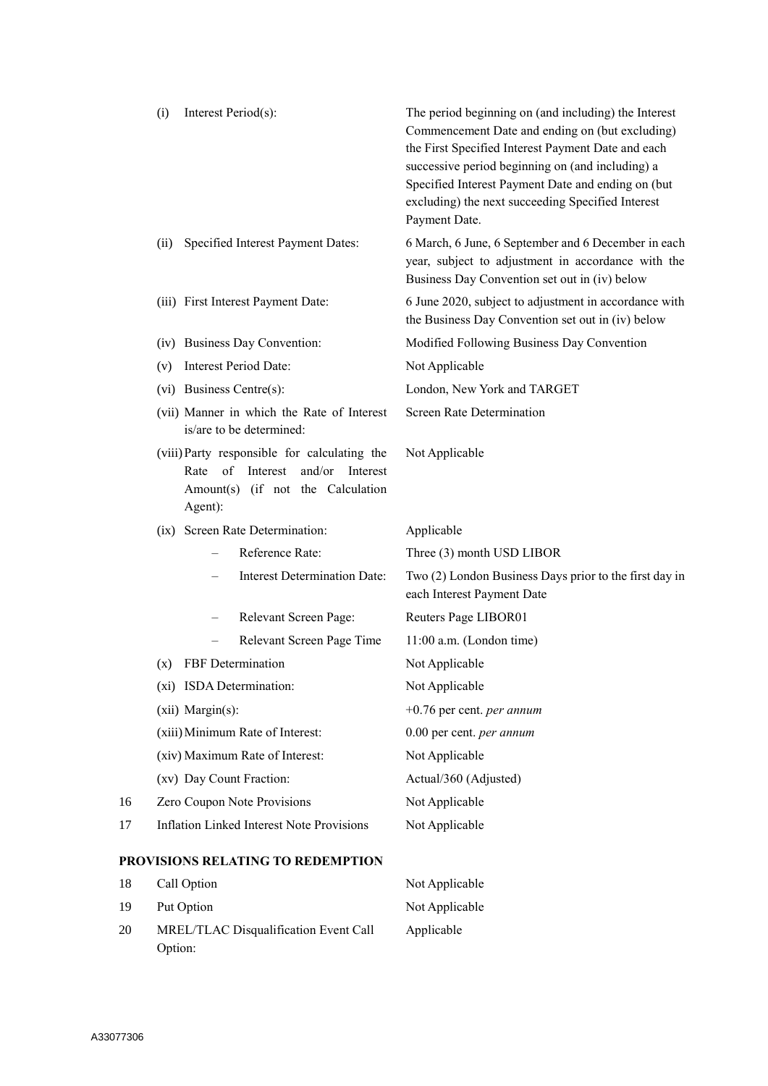|    | (i)  | Interest Period(s):                                                                                                                               | The period beginning on (and including) the Interest<br>Commencement Date and ending on (but excluding)<br>the First Specified Interest Payment Date and each<br>successive period beginning on (and including) a<br>Specified Interest Payment Date and ending on (but<br>excluding) the next succeeding Specified Interest<br>Payment Date. |
|----|------|---------------------------------------------------------------------------------------------------------------------------------------------------|-----------------------------------------------------------------------------------------------------------------------------------------------------------------------------------------------------------------------------------------------------------------------------------------------------------------------------------------------|
|    | (ii) | Specified Interest Payment Dates:                                                                                                                 | 6 March, 6 June, 6 September and 6 December in each<br>year, subject to adjustment in accordance with the<br>Business Day Convention set out in (iv) below                                                                                                                                                                                    |
|    |      | (iii) First Interest Payment Date:                                                                                                                | 6 June 2020, subject to adjustment in accordance with<br>the Business Day Convention set out in (iv) below                                                                                                                                                                                                                                    |
|    |      | (iv) Business Day Convention:                                                                                                                     | Modified Following Business Day Convention                                                                                                                                                                                                                                                                                                    |
|    | (v)  | <b>Interest Period Date:</b>                                                                                                                      | Not Applicable                                                                                                                                                                                                                                                                                                                                |
|    |      | (vi) Business Centre(s):                                                                                                                          | London, New York and TARGET                                                                                                                                                                                                                                                                                                                   |
|    |      | (vii) Manner in which the Rate of Interest<br>is/are to be determined:                                                                            | Screen Rate Determination                                                                                                                                                                                                                                                                                                                     |
|    |      | (viii) Party responsible for calculating the<br>$\sigma$ f<br>Rate<br>Interest<br>and/or Interest<br>Amount(s) (if not the Calculation<br>Agent): | Not Applicable                                                                                                                                                                                                                                                                                                                                |
|    |      | (ix) Screen Rate Determination:                                                                                                                   | Applicable                                                                                                                                                                                                                                                                                                                                    |
|    |      |                                                                                                                                                   |                                                                                                                                                                                                                                                                                                                                               |
|    |      | Reference Rate:                                                                                                                                   | Three (3) month USD LIBOR                                                                                                                                                                                                                                                                                                                     |
|    |      | <b>Interest Determination Date:</b>                                                                                                               | Two (2) London Business Days prior to the first day in<br>each Interest Payment Date                                                                                                                                                                                                                                                          |
|    |      | Relevant Screen Page:                                                                                                                             | Reuters Page LIBOR01                                                                                                                                                                                                                                                                                                                          |
|    |      | Relevant Screen Page Time                                                                                                                         | $11:00$ a.m. (London time)                                                                                                                                                                                                                                                                                                                    |
|    | (x)  | FBF Determination                                                                                                                                 | Not Applicable                                                                                                                                                                                                                                                                                                                                |
|    |      | (xi) ISDA Determination:                                                                                                                          | Not Applicable                                                                                                                                                                                                                                                                                                                                |
|    |      | (xii) Margin(s):                                                                                                                                  | $+0.76$ per cent. <i>per annum</i>                                                                                                                                                                                                                                                                                                            |
|    |      | (xiii) Minimum Rate of Interest:                                                                                                                  | 0.00 per cent. per annum                                                                                                                                                                                                                                                                                                                      |
|    |      | (xiv) Maximum Rate of Interest:                                                                                                                   | Not Applicable                                                                                                                                                                                                                                                                                                                                |
|    |      | (xv) Day Count Fraction:                                                                                                                          | Actual/360 (Adjusted)                                                                                                                                                                                                                                                                                                                         |
| 16 |      | Zero Coupon Note Provisions                                                                                                                       | Not Applicable                                                                                                                                                                                                                                                                                                                                |
| 17 |      | <b>Inflation Linked Interest Note Provisions</b>                                                                                                  | Not Applicable                                                                                                                                                                                                                                                                                                                                |
|    |      | PROVISIONS RELATING TO REDEMPTION                                                                                                                 |                                                                                                                                                                                                                                                                                                                                               |
| 18 |      | Call Option                                                                                                                                       | Not Applicable                                                                                                                                                                                                                                                                                                                                |
| 19 |      | Put Option                                                                                                                                        | Not Applicable                                                                                                                                                                                                                                                                                                                                |

20 MREL/TLAC Disqualification Event Call Option: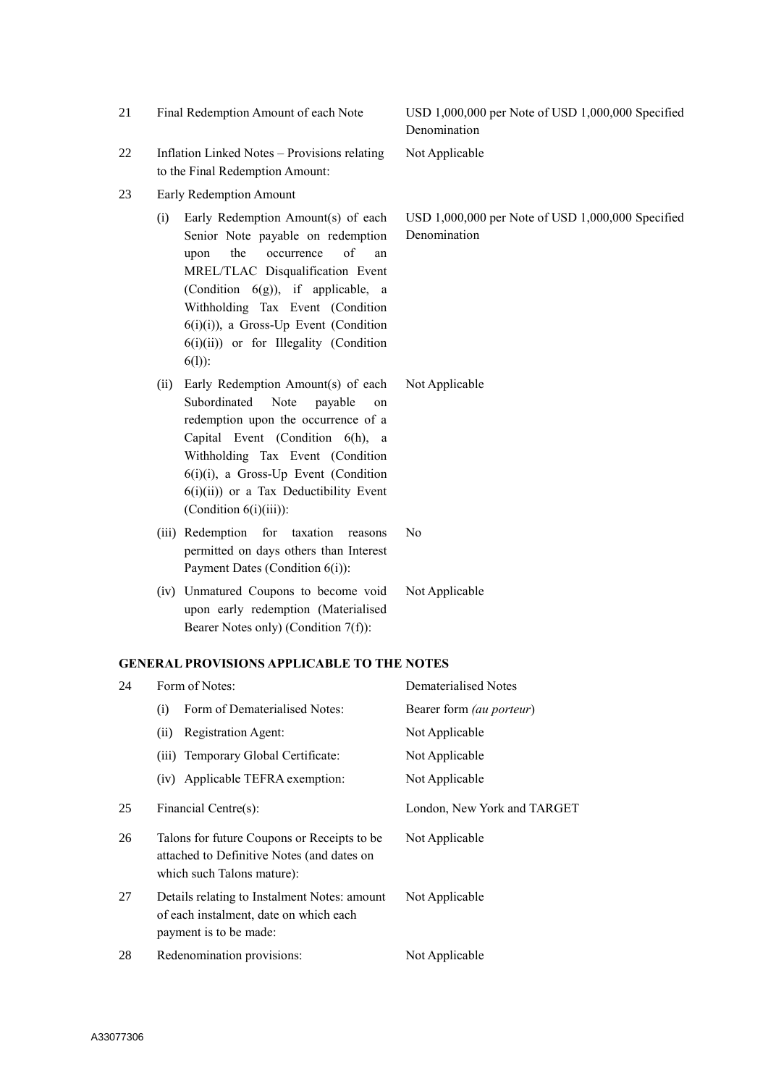| USD 1,000,000 per Note of USD 1,000,000 Specified<br>Denomination<br>Not Applicable |
|-------------------------------------------------------------------------------------|
|                                                                                     |
|                                                                                     |
|                                                                                     |
|                                                                                     |
| Not Applicable                                                                      |
|                                                                                     |
| <b>Dematerialised Notes</b>                                                         |
| Bearer form (au porteur)                                                            |
| Not Applicable                                                                      |
| Not Applicable                                                                      |
| Not Applicable                                                                      |
| London, New York and TARGET                                                         |
| Not Applicable                                                                      |
| Not Applicable                                                                      |
| Not Applicable                                                                      |
|                                                                                     |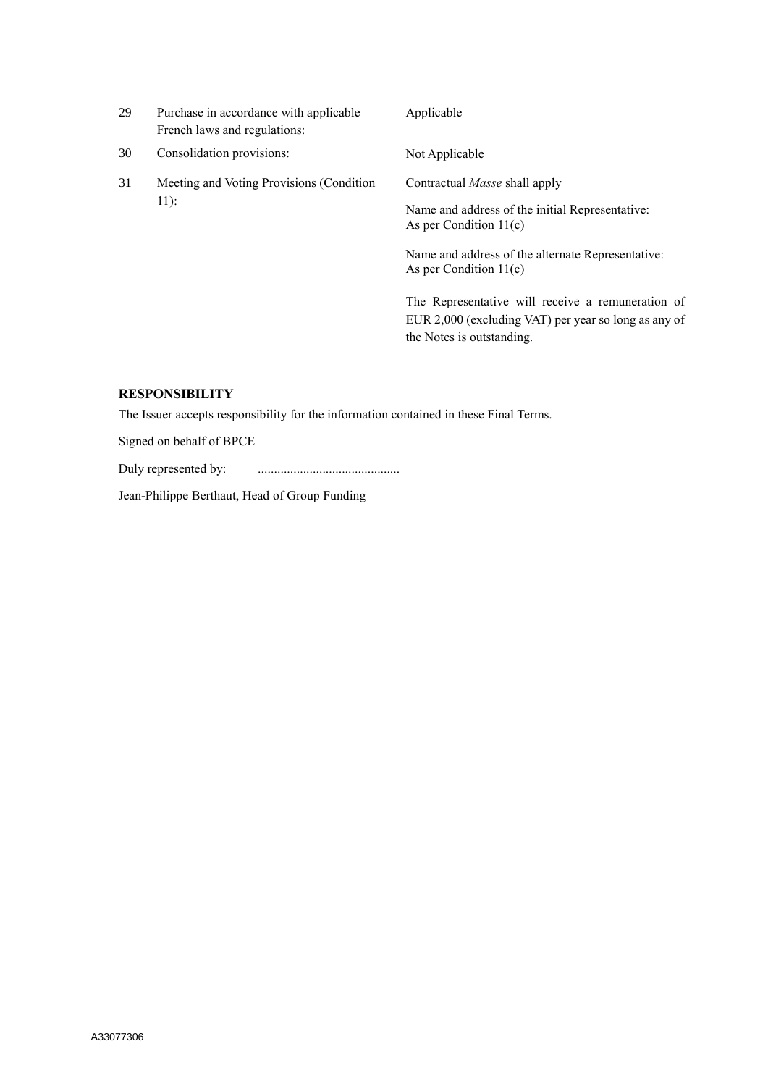| 29 | Purchase in accordance with applicable<br>French laws and regulations: | Applicable                                                                                                                                                                                                                                                                                                        |
|----|------------------------------------------------------------------------|-------------------------------------------------------------------------------------------------------------------------------------------------------------------------------------------------------------------------------------------------------------------------------------------------------------------|
| 30 | Consolidation provisions:                                              | Not Applicable                                                                                                                                                                                                                                                                                                    |
| 31 | Meeting and Voting Provisions (Condition<br>$11$ :                     | Contractual <i>Masse</i> shall apply<br>Name and address of the initial Representative:<br>As per Condition $11(c)$<br>Name and address of the alternate Representative:<br>As per Condition $11(c)$<br>The Representative will receive a remuneration of<br>EUR 2,000 (excluding VAT) per year so long as any of |
|    |                                                                        | the Notes is outstanding.                                                                                                                                                                                                                                                                                         |

# **RESPONSIBILITY**

The Issuer accepts responsibility for the information contained in these Final Terms.

Signed on behalf of BPCE

Duly represented by: ............................................

Jean-Philippe Berthaut, Head of Group Funding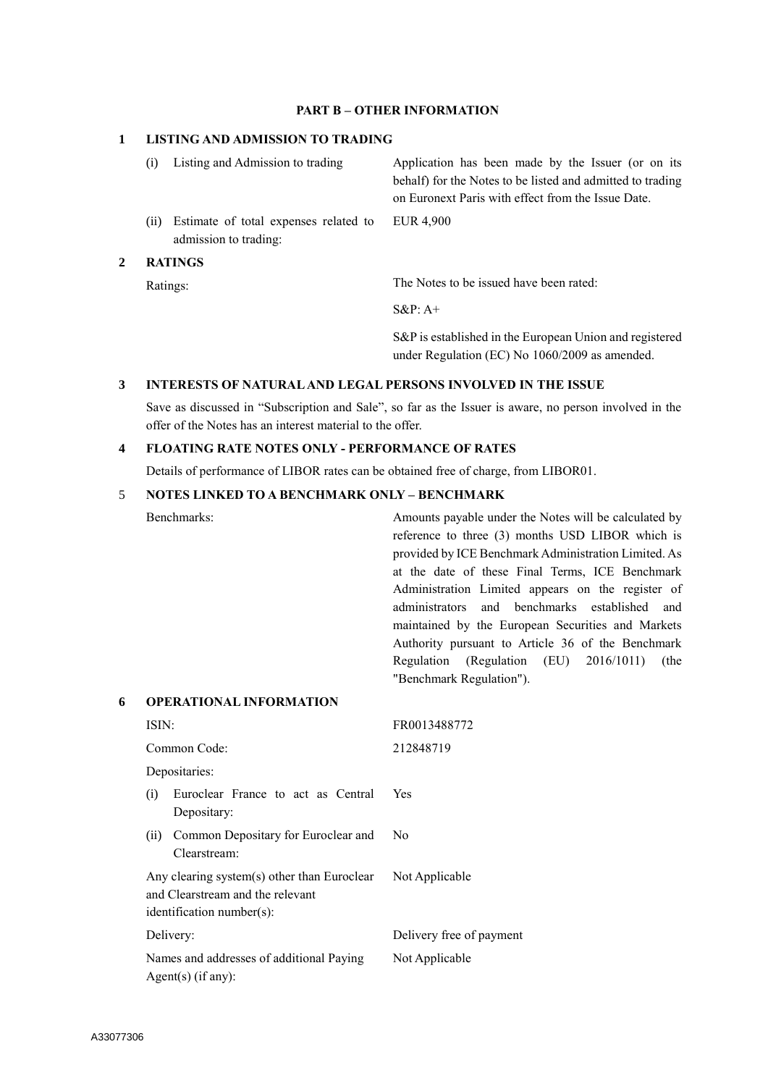### **PART B – OTHER INFORMATION**

### **1 LISTING AND ADMISSION TO TRADING**

(i) Listing and Admission to trading Application has been made by the Issuer (or on its behalf) for the Notes to be listed and admitted to trading on Euronext Paris with effect from the Issue Date. (ii) Estimate of total expenses related to admission to trading: EUR 4,900

### **2 RATINGS**

Ratings: The Notes to be issued have been rated:

S&P: A+

S&P is established in the European Union and registered under Regulation (EC) No 1060/2009 as amended.

#### **3 INTERESTS OF NATURAL AND LEGAL PERSONS INVOLVED IN THE ISSUE**

Save as discussed in "Subscription and Sale", so far as the Issuer is aware, no person involved in the offer of the Notes has an interest material to the offer.

## **4 FLOATING RATE NOTES ONLY - PERFORMANCE OF RATES**

Details of performance of LIBOR rates can be obtained free of charge, from LIBOR01.

#### 5 **NOTES LINKED TO A BENCHMARK ONLY – BENCHMARK**

Benchmarks: Amounts payable under the Notes will be calculated by reference to three (3) months USD LIBOR which is provided by ICE Benchmark Administration Limited. As at the date of these Final Terms, ICE Benchmark Administration Limited appears on the register of administrators and benchmarks established and maintained by the European Securities and Markets Authority pursuant to Article 36 of the Benchmark Regulation (Regulation (EU) 2016/1011) (the "Benchmark Regulation").

| 6 |       | <b>OPERATIONAL INFORMATION</b>                                                                                  |                          |  |
|---|-------|-----------------------------------------------------------------------------------------------------------------|--------------------------|--|
|   | ISIN: |                                                                                                                 | FR0013488772             |  |
|   |       | Common Code:                                                                                                    | 212848719                |  |
|   |       | Depositaries:                                                                                                   |                          |  |
|   | (i)   | Euroclear France to act as Central<br>Depositary:                                                               | Yes                      |  |
|   | (i)   | Common Depositary for Euroclear and<br>Clearstream:                                                             | No                       |  |
|   |       | Any clearing system(s) other than Euroclear<br>and Clearstream and the relevant<br>$identification number(s)$ : | Not Applicable           |  |
|   |       | Delivery:                                                                                                       | Delivery free of payment |  |
|   |       | Names and addresses of additional Paying<br>Agent(s) (if any):                                                  | Not Applicable           |  |